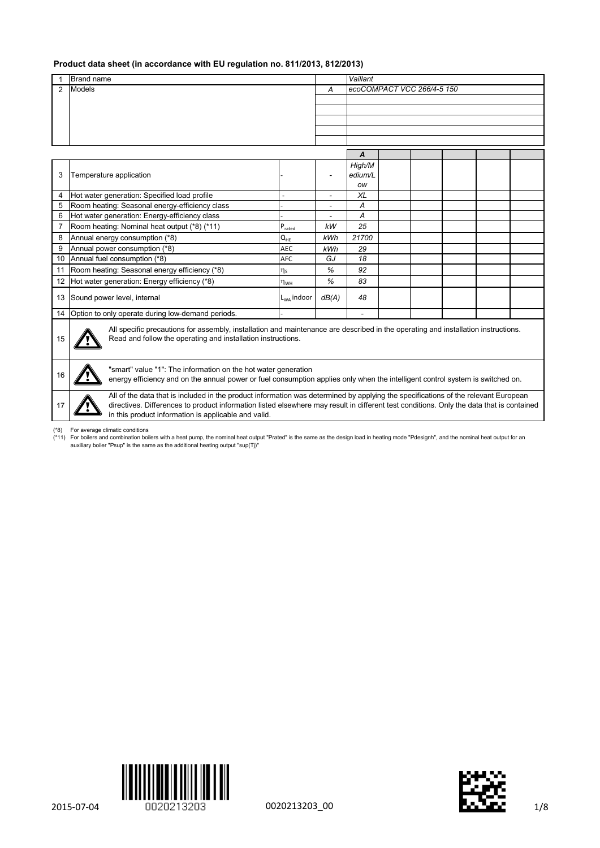## **Product data sheet (in accordance with EU regulation no. 811/2013, 812/2013)**

|        | Brand name                                                                                                                                                                                                                                                                                                                             |            | Vaillant                                   |                            |  |  |  |  |  |
|--------|----------------------------------------------------------------------------------------------------------------------------------------------------------------------------------------------------------------------------------------------------------------------------------------------------------------------------------------|------------|--------------------------------------------|----------------------------|--|--|--|--|--|
| 2      | Models                                                                                                                                                                                                                                                                                                                                 |            |                                            | ecoCOMPACT VCC 266/4-5 150 |  |  |  |  |  |
|        |                                                                                                                                                                                                                                                                                                                                        |            |                                            |                            |  |  |  |  |  |
|        |                                                                                                                                                                                                                                                                                                                                        |            |                                            |                            |  |  |  |  |  |
|        |                                                                                                                                                                                                                                                                                                                                        |            |                                            |                            |  |  |  |  |  |
|        |                                                                                                                                                                                                                                                                                                                                        |            |                                            |                            |  |  |  |  |  |
|        |                                                                                                                                                                                                                                                                                                                                        |            |                                            |                            |  |  |  |  |  |
|        |                                                                                                                                                                                                                                                                                                                                        |            |                                            | A                          |  |  |  |  |  |
| 3      |                                                                                                                                                                                                                                                                                                                                        |            |                                            | High/M                     |  |  |  |  |  |
|        | Temperature application                                                                                                                                                                                                                                                                                                                |            |                                            | edium/L                    |  |  |  |  |  |
|        |                                                                                                                                                                                                                                                                                                                                        |            |                                            | OW                         |  |  |  |  |  |
| 4      | Hot water generation: Specified load profile                                                                                                                                                                                                                                                                                           |            | $\overline{\phantom{a}}$                   | XL                         |  |  |  |  |  |
| 5<br>6 | Room heating: Seasonal energy-efficiency class<br>Hot water generation: Energy-efficiency class                                                                                                                                                                                                                                        |            | $\overline{\phantom{a}}$<br>$\overline{a}$ | Α<br>$\overline{A}$        |  |  |  |  |  |
| 7      | Room heating: Nominal heat output (*8) (*11)                                                                                                                                                                                                                                                                                           | Prated     | <b>kW</b>                                  | 25                         |  |  |  |  |  |
| 8      |                                                                                                                                                                                                                                                                                                                                        |            | <b>kWh</b>                                 | 21700                      |  |  |  |  |  |
| 9      | Annual energy consumption (*8)                                                                                                                                                                                                                                                                                                         | $Q_{HE}$   | <b>kWh</b>                                 | 29                         |  |  |  |  |  |
| 10     | Annual power consumption (*8)<br>Annual fuel consumption (*8)                                                                                                                                                                                                                                                                          | AEC<br>AFC | GJ                                         | 18                         |  |  |  |  |  |
| 11     | Room heating: Seasonal energy efficiency (*8)                                                                                                                                                                                                                                                                                          | ης         | %                                          | 92                         |  |  |  |  |  |
| 12     |                                                                                                                                                                                                                                                                                                                                        |            | %                                          | 83                         |  |  |  |  |  |
|        | Hot water generation: Energy efficiency (*8)<br>η <sub>wн</sub>                                                                                                                                                                                                                                                                        |            |                                            |                            |  |  |  |  |  |
| 13     | Sound power level, internal                                                                                                                                                                                                                                                                                                            |            | dB(A)                                      | 48                         |  |  |  |  |  |
| 14     | Option to only operate during low-demand periods.                                                                                                                                                                                                                                                                                      |            |                                            |                            |  |  |  |  |  |
| 15     | All specific precautions for assembly, installation and maintenance are described in the operating and installation instructions.<br>Read and follow the operating and installation instructions.                                                                                                                                      |            |                                            |                            |  |  |  |  |  |
| 16     | "smart" value "1": The information on the hot water generation<br>energy efficiency and on the annual power or fuel consumption applies only when the intelligent control system is switched on.                                                                                                                                       |            |                                            |                            |  |  |  |  |  |
|        | All of the data that is included in the product information was determined by applying the specifications of the relevant European<br>directives. Differences to product information listed elsewhere may result in different test conditions. Only the data that is contained<br>in this product information is applicable and valid. |            |                                            |                            |  |  |  |  |  |

(\*8) For average climatic conditions<br>(\*11) For boilers and combination boilers with a heat pump, the nominal heat output "Prated" is the same as the design load in heating mode "Pdesignh", and the nominal heat output for



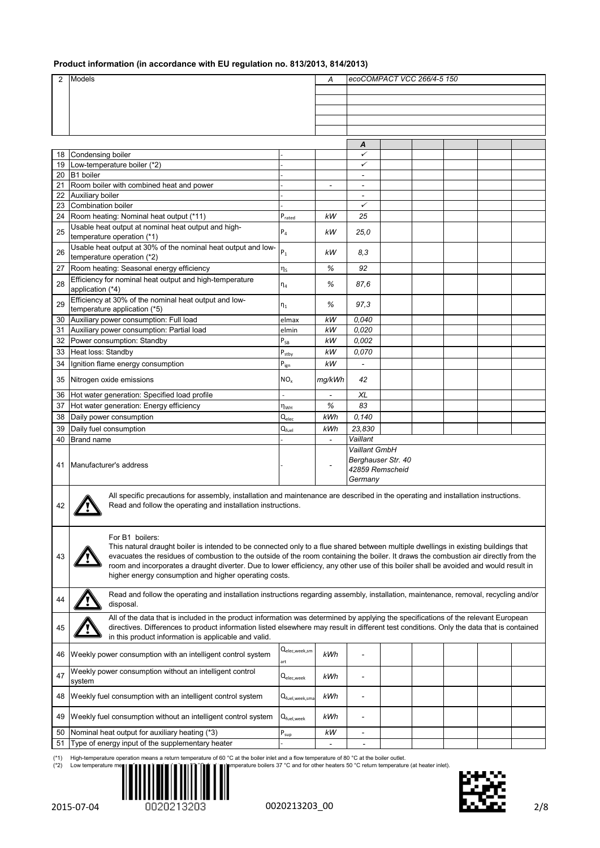## **Product information (in accordance with EU regulation no. 813/2013, 814/2013)**

| 2  | Models                                                                                                                                                                                                                                                                                                                                                                                                                                                                                          |                                             | А                        | ecoCOMPACT VCC 266/4-5 150            |  |  |  |  |  |
|----|-------------------------------------------------------------------------------------------------------------------------------------------------------------------------------------------------------------------------------------------------------------------------------------------------------------------------------------------------------------------------------------------------------------------------------------------------------------------------------------------------|---------------------------------------------|--------------------------|---------------------------------------|--|--|--|--|--|
|    |                                                                                                                                                                                                                                                                                                                                                                                                                                                                                                 |                                             |                          |                                       |  |  |  |  |  |
|    |                                                                                                                                                                                                                                                                                                                                                                                                                                                                                                 |                                             |                          |                                       |  |  |  |  |  |
|    |                                                                                                                                                                                                                                                                                                                                                                                                                                                                                                 |                                             |                          |                                       |  |  |  |  |  |
|    |                                                                                                                                                                                                                                                                                                                                                                                                                                                                                                 |                                             |                          |                                       |  |  |  |  |  |
|    |                                                                                                                                                                                                                                                                                                                                                                                                                                                                                                 |                                             |                          | Α                                     |  |  |  |  |  |
| 18 | Condensing boiler                                                                                                                                                                                                                                                                                                                                                                                                                                                                               |                                             |                          | ✓                                     |  |  |  |  |  |
| 19 | Low-temperature boiler (*2)                                                                                                                                                                                                                                                                                                                                                                                                                                                                     |                                             |                          | ✓                                     |  |  |  |  |  |
| 20 | B1 boiler                                                                                                                                                                                                                                                                                                                                                                                                                                                                                       |                                             |                          |                                       |  |  |  |  |  |
| 21 | Room boiler with combined heat and power                                                                                                                                                                                                                                                                                                                                                                                                                                                        |                                             |                          |                                       |  |  |  |  |  |
| 22 | Auxiliary boiler                                                                                                                                                                                                                                                                                                                                                                                                                                                                                |                                             |                          | $\overline{\phantom{a}}$              |  |  |  |  |  |
| 23 | <b>Combination boiler</b>                                                                                                                                                                                                                                                                                                                                                                                                                                                                       |                                             |                          | ✓                                     |  |  |  |  |  |
| 24 | Room heating: Nominal heat output (*11)                                                                                                                                                                                                                                                                                                                                                                                                                                                         | $P_{\text{rated}}$                          | kW                       | 25                                    |  |  |  |  |  |
| 25 | Usable heat output at nominal heat output and high-<br>temperature operation (*1)                                                                                                                                                                                                                                                                                                                                                                                                               |                                             | kW                       | 25,0                                  |  |  |  |  |  |
| 26 | Usable heat output at 30% of the nominal heat output and low-<br>temperature operation (*2)                                                                                                                                                                                                                                                                                                                                                                                                     |                                             | kW                       | 8,3                                   |  |  |  |  |  |
| 27 | Room heating: Seasonal energy efficiency                                                                                                                                                                                                                                                                                                                                                                                                                                                        | ηs                                          | %                        | 92                                    |  |  |  |  |  |
| 28 | Efficiency for nominal heat output and high-temperature<br>application (*4)                                                                                                                                                                                                                                                                                                                                                                                                                     |                                             | ℅                        | 87,6                                  |  |  |  |  |  |
| 29 | Efficiency at 30% of the nominal heat output and low-<br>temperature application (*5)                                                                                                                                                                                                                                                                                                                                                                                                           |                                             | ℅                        | 97,3                                  |  |  |  |  |  |
| 30 | Auxiliary power consumption: Full load                                                                                                                                                                                                                                                                                                                                                                                                                                                          | elmax                                       | kW                       | 0.040                                 |  |  |  |  |  |
| 31 | Auxiliary power consumption: Partial load                                                                                                                                                                                                                                                                                                                                                                                                                                                       | elmin                                       | <b>kW</b>                | 0.020                                 |  |  |  |  |  |
| 32 | Power consumption: Standby                                                                                                                                                                                                                                                                                                                                                                                                                                                                      | $P_{SB}$                                    | kW                       | 0.002                                 |  |  |  |  |  |
| 33 | Heat loss: Standby                                                                                                                                                                                                                                                                                                                                                                                                                                                                              | $\mathsf{P}_{\mathsf{stby}}$                | kW                       | 0.070                                 |  |  |  |  |  |
| 34 | Ignition flame energy consumption                                                                                                                                                                                                                                                                                                                                                                                                                                                               | $P_{ign}$                                   | kW                       |                                       |  |  |  |  |  |
|    | 35 Nitrogen oxide emissions                                                                                                                                                                                                                                                                                                                                                                                                                                                                     | NO <sub>x</sub>                             | mg/kWh                   | 42                                    |  |  |  |  |  |
| 36 | Hot water generation: Specified load profile                                                                                                                                                                                                                                                                                                                                                                                                                                                    | ÷.                                          | $\overline{\phantom{a}}$ | XL                                    |  |  |  |  |  |
| 37 | Hot water generation: Energy efficiency                                                                                                                                                                                                                                                                                                                                                                                                                                                         | η <sub>wн</sub>                             | %                        | 83                                    |  |  |  |  |  |
| 38 | Daily power consumption                                                                                                                                                                                                                                                                                                                                                                                                                                                                         | $Q_{elec}$                                  | kWh                      | 0.140                                 |  |  |  |  |  |
| 39 | Daily fuel consumption                                                                                                                                                                                                                                                                                                                                                                                                                                                                          | $Q_{\mathsf{fuel}}$                         | kWh                      | 23,830                                |  |  |  |  |  |
| 40 | <b>Brand name</b>                                                                                                                                                                                                                                                                                                                                                                                                                                                                               |                                             |                          | Vaillant                              |  |  |  |  |  |
|    |                                                                                                                                                                                                                                                                                                                                                                                                                                                                                                 |                                             |                          | Vaillant GmbH                         |  |  |  |  |  |
| 41 | Manufacturer's address                                                                                                                                                                                                                                                                                                                                                                                                                                                                          |                                             |                          | Berghauser Str. 40<br>42859 Remscheid |  |  |  |  |  |
|    |                                                                                                                                                                                                                                                                                                                                                                                                                                                                                                 |                                             |                          | Germany                               |  |  |  |  |  |
| 42 | All specific precautions for assembly, installation and maintenance are described in the operating and installation instructions.<br>Read and follow the operating and installation instructions.                                                                                                                                                                                                                                                                                               |                                             |                          |                                       |  |  |  |  |  |
|    |                                                                                                                                                                                                                                                                                                                                                                                                                                                                                                 |                                             |                          |                                       |  |  |  |  |  |
| 43 | For B1 boilers:<br>This natural draught boiler is intended to be connected only to a flue shared between multiple dwellings in existing buildings that<br>evacuates the residues of combustion to the outside of the room containing the boiler. It draws the combustion air directly from the<br>room and incorporates a draught diverter. Due to lower efficiency, any other use of this boiler shall be avoided and would result in<br>higher energy consumption and higher operating costs. |                                             |                          |                                       |  |  |  |  |  |
| 44 | Read and follow the operating and installation instructions regarding assembly, installation, maintenance, removal, recycling and/or                                                                                                                                                                                                                                                                                                                                                            |                                             |                          |                                       |  |  |  |  |  |
|    | disposal.                                                                                                                                                                                                                                                                                                                                                                                                                                                                                       |                                             |                          |                                       |  |  |  |  |  |
| 45 | All of the data that is included in the product information was determined by applying the specifications of the relevant European<br>directives. Differences to product information listed elsewhere may result in different test conditions. Only the data that is contained<br>in this product information is applicable and valid.                                                                                                                                                          |                                             |                          |                                       |  |  |  |  |  |
| 46 | Weekly power consumption with an intelligent control system                                                                                                                                                                                                                                                                                                                                                                                                                                     | $\mathsf{Q}_{\mathsf{elec,week,sm}}$<br>art | kWh                      |                                       |  |  |  |  |  |
| 47 | Weekly power consumption without an intelligent control<br>system                                                                                                                                                                                                                                                                                                                                                                                                                               | $\mathsf{Q}_{\mathsf{elec,week}}$           | kWh                      |                                       |  |  |  |  |  |
| 48 | Weekly fuel consumption with an intelligent control system                                                                                                                                                                                                                                                                                                                                                                                                                                      | $\mathsf{Q}_{\mathsf{fuel, week, sma}}$     | kWh                      | $\overline{a}$                        |  |  |  |  |  |
| 49 | Weekly fuel consumption without an intelligent control system                                                                                                                                                                                                                                                                                                                                                                                                                                   | $\mathsf{Q}_{\mathsf{fuel},\mathsf{week}}$  | kWh                      | $\overline{a}$                        |  |  |  |  |  |
| 50 | Nominal heat output for auxiliary heating (*3)<br>$P_{sup}$                                                                                                                                                                                                                                                                                                                                                                                                                                     |                                             | kW                       | $\overline{a}$                        |  |  |  |  |  |
| 51 | Type of energy input of the supplementary heater                                                                                                                                                                                                                                                                                                                                                                                                                                                |                                             | $\overline{a}$           | $\overline{\phantom{0}}$              |  |  |  |  |  |
|    | emperature of 60 °C at the boiler inlet and a flow temperature of 80 °C at the boiler outlet                                                                                                                                                                                                                                                                                                                                                                                                    |                                             |                          |                                       |  |  |  |  |  |

(\*1) (\*2) High-temperature operation means a return temperature of 60 °C at the boiler inlet and a flow temperature of 80 °C at the boiler outlet.<br>Low temperature me∎ | ■ T ■ T ■ T ■ T ■ T ■ T T T T ■ T ■ I Pemperature boilers 37 °

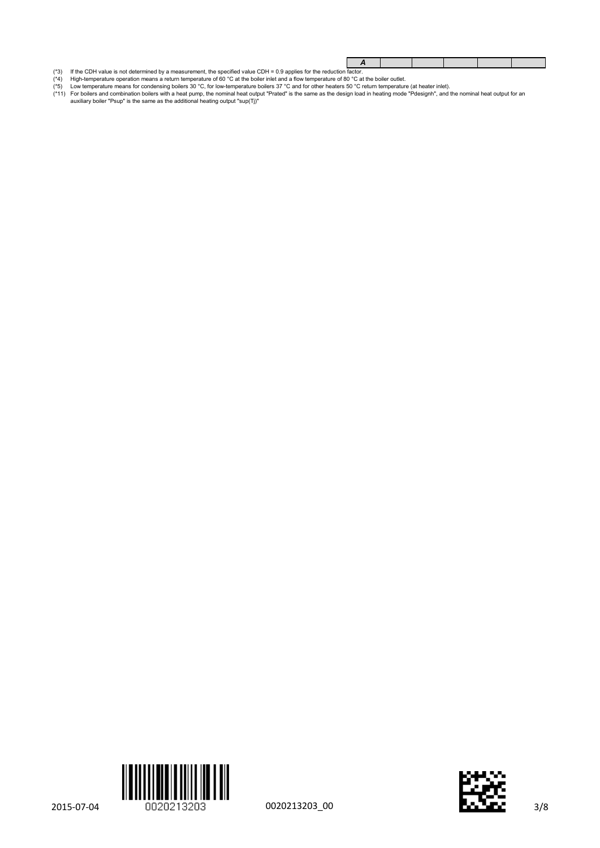- 
- If the CDH value is not determined by a measurement, the specified value CDH = 0.9 applies for the reduction factor.<br>High-temperature operation means a return temperature of 60 °C at the boiler inlet and a flow temperatur
- (\*3) If the CDH value is not determined by a measurement, the specified value CDH = 0.9 applies for the reduction factor.<br>(\*4) High-temperature operation means a return temperature of 60 °C at the bolier inlet and a flow t



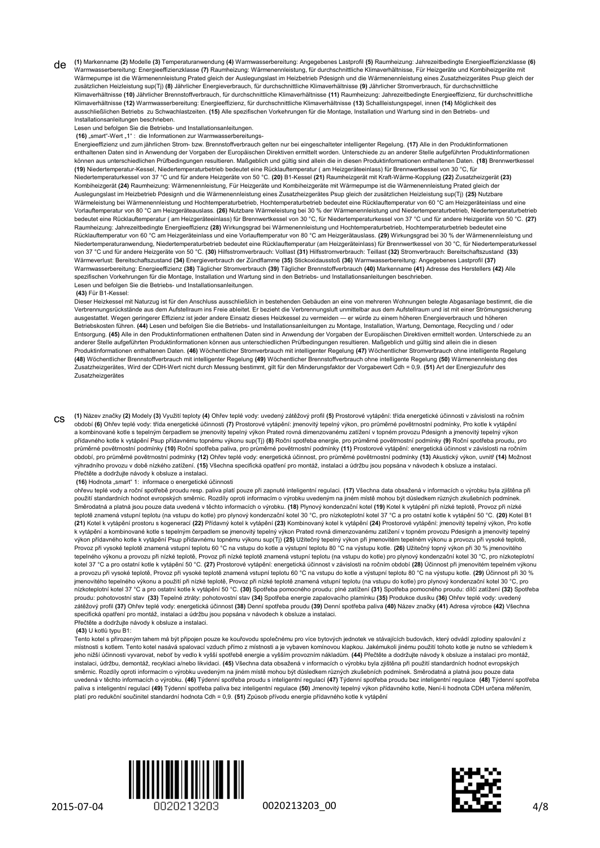de **(1)** Markenname **(2)** Modelle **(3)** Temperaturanwendung **(4)** Warmwasserbereitung: Angegebenes Lastprofil **(5)** Raumheizung: Jahrezeitbedingte Energieeffizienzklasse **(6)**  Warmwasserbereitung: Energieeffizienzklasse **(7)** Raumheizung: Wärmenennleistung, für durchschnittliche Klimaverhältnisse, Für Heizgeräte und Kombiheizgeräte mit Wärmepumpe ist die Wärmenennleistung Prated gleich der Auslegungslast im Heizbetrieb Pdesignh und die Wärmenennleistung eines Zusatzheizgerätes Psup gleich der zusätzlichen Heizleistung sup(Tj) **(8)** Jährlicher Energieverbrauch, für durchschnittliche Klimaverhältnisse **(9)** Jährlicher Stromverbrauch, für durchschnittliche Klimaverhältnisse **(10)** Jährlicher Brennstoffverbrauch, für durchschnittliche Klimaverhältnisse **(11)** Raumheizung: Jahrezeitbedingte Energieeffizienz, für durchschnittliche Klimaverhältnisse **(12)** Warmwasserbereitung: Energieeffizienz, für durchschnittliche Klimaverhältnisse **(13)** Schallleistungspegel, innen **(14)** Möglichkeit des ausschließlichen Betriebs zu Schwachlastzeiten. **(15)** Alle spezifischen Vorkehrungen für die Montage, Installation und Wartung sind in den Betriebs- und Installationsanleitungen beschrieben.

Lesen und befolgen Sie die Betriebs- und Installationsanleitungen.

(16) "smart"-Wert "1" : die Informationen zur Warmwasserbereitungs-

Energieeffizienz und zum jährlichen Strom- bzw. Brennstoffverbrauch gelten nur bei eingeschalteter intelligenter Regelung. **(17)** Alle in den Produktinformationen enthaltenen Daten sind in Anwendung der Vorgaben der Europäischen Direktiven ermittelt worden. Unterschiede zu an anderer Stelle aufgeführten Produktinformationer können aus unterschiedlichen Prüfbedingungen resultieren. Maßgeblich und gültig sind allein die in diesen Produktinformationen enthaltenen Daten. **(18)** Brennwertkessel **(19)** Niedertemperatur-Kessel, Niedertemperaturbetrieb bedeutet eine Rücklauftemperatur ( am Heizgeräteeinlass) für Brennwertkessel von 30 °C, für Niedertemperaturkessel von 37 °C und für andere Heizgeräte von 50 °C. **(20)** B1-Kessel **(21)** Raumheizgerät mit Kraft-Wärme-Kopplung **(22)** Zusatzheizgerät **(23)**  Kombiheizgerät **(24)** Raumheizung: Wärmenennleistung, Für Heizgeräte und Kombiheizgeräte mit Wärmepumpe ist die Wärmenennleistung Prated gleich der Auslegungslast im Heizbetrieb Pdesignh und die Wärmenennleistung eines Zusatzheizgerätes Psup gleich der zusätzlichen Heizleistung sup(Tj) **(25)** Nutzbare Wärmeleistung bei Wärmenennleistung und Hochtemperaturbetrieb, Hochtemperaturbetrieb bedeutet eine Rücklauftemperatur von 60 °C am Heizgeräteinlass und eine Vorlauftemperatur von 80 °C am Heizgeräteauslass. **(26)** Nutzbare Wärmeleistung bei 30 % der Wärmenennleistung und Niedertemperaturbetrieb, Niedertemperaturbetrieb bedeutet eine Rücklauftemperatur ( am Heizgeräteeinlass) für Brennwertkessel von 30 °C, für Niedertemperaturkessel von 37 °C und für andere Heizgeräte von 50 °C. **(27)**  Raumheizung: Jahrezeitbedingte Energieeffizienz (28) Wirkungsgrad bei Wärmenennleistung und Hochtemperaturbetrieb, Hochtemperaturbetrieb bedeutet eine Rücklauftemperatur von 60 °C am Heizgeräteinlass und eine Vorlauftemperatur von 80 °C am Heizgerätauslass. **(29)** Wirkungsgrad bei 30 % der Wärmenennleistung und Niedertemperaturanwendung, Niedertemperaturbetrieb bedeutet eine Rücklauftemperatur (am Heizgeräteinlass) für Brennwertkessel von 30 °C, für Niedertemperaturkessel von 37 °C und für andere Heizgeräte von 50 °C. **(30)** Hilfsstromverbrauch: Volllast **(31)** Hilfsstromverbrauch: Teillast **(32)** Stromverbrauch: Bereitschaftszustand **(33)**  Wärmeverlust: Bereitschaftszustand **(34)** Energieverbrauch der Zündflamme **(35)** Stickoxidausstoß **(36)** Warmwasserbereitung: Angegebenes Lastprofil **(37)**  Warmwasserbereitung: Energieeffizienz **(38)** Täglicher Stromverbrauch **(39)** Täglicher Brennstoffverbrauch **(40)** Markenname **(41)** Adresse des Herstellers **(42)** Alle spezifischen Vorkehrungen für die Montage, Installation und Wartung sind in den Betriebs- und Installationsanleitungen beschrieben. Lesen und befolgen Sie die Betriebs- und Installationsanleitungen.

## **(43)** Für B1-Kessel:

Dieser Heizkessel mit Naturzug ist für den Anschluss ausschließlich in bestehenden Gebäuden an eine von mehreren Wohnungen belegte Abgasanlage bestimmt, die die Verbrennungsrückstände aus dem Aufstellraum ins Freie ableitet. Er bezieht die Verbrennungsluft unmittelbar aus dem Aufstellraum und ist mit einer Strömungssicherung ausgestattet. Wegen geringerer Effizienz ist jeder andere Einsatz dieses Heizkessel zu vermeiden — er würde zu einem höheren Energieverbrauch und höheren Betriebskosten führen. **(44)** Lesen und befolgen Sie die Betriebs- und Installationsanleitungen zu Montage, Installation, Wartung, Demontage, Recycling und / oder Entsorgung. **(45)** Alle in den Produktinformationen enthaltenen Daten sind in Anwendung der Vorgaben der Europäischen Direktiven ermittelt worden. Unterschiede zu an anderer Stelle aufgeführten Produktinformationen können aus unterschiedlichen Prüfbedingungen resultieren. Maßgeblich und gültig sind allein die in diesen Produktinformationen enthaltenen Daten. **(46)** Wöchentlicher Stromverbrauch mit intelligenter Regelung **(47)** Wöchentlicher Stromverbrauch ohne intelligente Regelung **(48)** Wöchentlicher Brennstoffverbrauch mit intelligenter Regelung **(49)** Wöchentlicher Brennstoffverbrauch ohne intelligente Regelung **(50)** Wärmenennleistung des Zusatzheizgerätes, Wird der CDH-Wert nicht durch Messung bestimmt, gilt für den Minderungsfaktor der Vorgabewert Cdh = 0,9. **(51)** Art der Energiezufuhr des Zusatzheizgerätes

cs **(1)** Název značky **(2)** Modely **(3)** Využití teploty **(4)** Ohřev teplé vody: uvedený zátěžový profil **(5)** Prostorové vytápění: třída energetické účinnosti v závislosti na ročním období **(6)** Ohřev teplé vody: třída energetické účinnosti **(7)** Prostorové vytápění: jmenovitý tepelný výkon, pro průměrné povětrnostní podmínky, Pro kotle k vytápění a kombinované kotle s tepelným čerpadlem se jmenovitý tepelný výkon Prated rovná dimenzovanému zatížení v topném provozu Pdesignh a jmenovitý tepelný výkon přídavného kotle k vytápění Psup přídavnému topnému výkonu sup(Tj) **(8)** Roční spotřeba energie, pro průměrné povětrnostní podmínky **(9)** Roční spotřeba proudu, pro průměrné povětrnostní podmínky **(10)** Roční spotřeba paliva, pro průměrné povětrnostní podmínky **(11)** Prostorové vytápění: energetická účinnost v závislosti na ročním období, pro průměrné povětrnostní podmínky **(12)** Ohřev teplé vody: energetická účinnost, pro průměrné povětrnostní podmínky **(13)** Akustický výkon, uvnitř **(14)** Možnost výhradního provozu v době nízkého zatížení. **(15)** Všechna specifická opatření pro montáž, instalaci a údržbu jsou popsána v návodech k obsluze a instalaci. Přečtěte a dodržujte návody k obsluze a instalaci.

(16) Hodnota "smart" 1: informace o energetické účinnosti

ohřevu teplé vody a roční spotřebě proudu resp. paliva platí pouze při zapnuté inteligentní regulaci. **(17)** Všechna data obsažená v informacích o výrobku byla zjištěna při použití standardních hodnot evropských směrnic. Rozdíly oproti informacím o výrobku uvedeným na jiném místě mohou být důsledkem různých zkušebních podmínek. Směrodatná a platná jsou pouze data uvedená v těchto informacích o výrobku. **(18)** Plynový kondenzační kotel **(19)** Kotel k vytápění při nízké teplotě, Provoz při nízké teplotě znamená vstupní teplotu (na vstupu do kotle) pro plynový kondenzační kotel 30 °C, pro nízkoteplotní kotel 37 °C a pro ostatní kotle k vytápění 50 °C. **(20)** Kotel B1 **(21)** Kotel k vytápění prostoru s kogenerací **(22)** Přídavný kotel k vytápění **(23)** Kombinovaný kotel k vytápění **(24)** Prostorové vytápění: jmenovitý tepelný výkon, Pro kotle k vytápění a kombinované kotle s tepelným čerpadlem se jmenovitý tepelný výkon Prated rovná dimenzovanému zatížení v topném provozu Pdesignh a jmenovitý tepelný výkon přídavného kotle k vytápění Psup přídavnému topnému výkonu sup(Tj) **(25)** Užitečný tepelný výkon při jmenovitém tepelném výkonu a provozu při vysoké teplotě, Provoz při vysoké teplotě znamená vstupní teplotu 60 °C na vstupu do kotle a výstupní teplotu 80 °C na výstupu kotle. **(26)** Užitečný topný výkon při 30 % jmenovitého tepelného výkonu a provozu při nízké teplotě, Provoz při nízké teplotě znamená vstupní teplotu (na vstupu do kotle) pro plynový kondenzační kotel 30 °C, pro nízkoteplotní kotel 37 °C a pro ostatní kotle k vytápění 50 °C. **(27)** Prostorové vytápění: energetická účinnost v závislosti na ročním období **(28)** Účinnost při jmenovitém tepelném výkonu a provozu při vysoké teplotě, Provoz při vysoké teplotě znamená vstupní teplotu 60 °C na vstupu do kotle a výstupní teplotu 80 °C na výstupu kotle. **(29)** Účinnost při 30 % jmenovitého tepelného výkonu a použití při nízké teplotě, Provoz při nízké teplotě znamená vstupní teplotu (na vstupu do kotle) pro plynový kondenzační kotel 30 °C, pro nízkoteplotní kotel 37 °C a pro ostatní kotle k vytápění 50 °C. **(30)** Spotřeba pomocného proudu: plné zatížení **(31)** Spotřeba pomocného proudu: dílčí zatížení **(32)** Spotřeba proudu: pohotovostní stav **(33)** Tepelné ztráty: pohotovostní stav **(34)** Spotřeba energie zapalovacího plamínku **(35)** Produkce dusíku **(36)** Ohřev teplé vody: uvedený zátěžový profil **(37)** Ohřev teplé vody: energetická účinnost **(38)** Denní spotřeba proudu **(39)** Denní spotřeba paliva **(40)** Název značky **(41)** Adresa výrobce **(42)** Všechna specifická opatření pro montáž, instalaci a údržbu jsou popsána v návodech k obsluze a instalaci. Přečtěte a dodržujte návody k obsluze a instalaci.

**(43)** U kotlů typu B1:

Tento kotel s přirozeným tahem má být připojen pouze ke kouřovodu společnému pro více bytových jednotek ve stávajících budovách, který odvádí zplodiny spalování z místnosti s kotlem. Tento kotel nasává spalovací vzduch přímo z místnosti a je vybaven komínovou klapkou. Jakémukoli jinému použití tohoto kotle je nutno se vzhledem k jeho nižší účinnosti vyvarovat, neboť by vedlo k vyšší spotřebě energie a vyšším provozním nákladům. **(44)** Přečtěte a dodržujte návody k obsluze a instalaci pro montáž, instalaci, údržbu, demontáž, recyklaci a/nebo likvidaci. **(45)** Všechna data obsažená v informacích o výrobku byla zjištěna při použití standardních hodnot evropských směrnic. Rozdíly oproti informacím o výrobku uvedeným na jiném místě mohou být důsledkem různých zkušebních podmínek. Směrodatná a platná jsou pouze dat uvedená v těchto informacích o výrobku. **(46)** Týdenní spotřeba proudu s inteligentní regulací **(47)** Týdenní spotřeba proudu bez inteligentní regulace **(48)** Týdenní spotřeba paliva s inteligentní regulací **(49)** Týdenní spotřeba paliva bez inteligentní regulace **(50)** Jmenovitý tepelný výkon přídavného kotle, Není-li hodnota CDH určena měřením, platí pro redukční součinitel standardní hodnota Cdh = 0,9. **(51)** Způsob přívodu energie přídavného kotle k vytápění





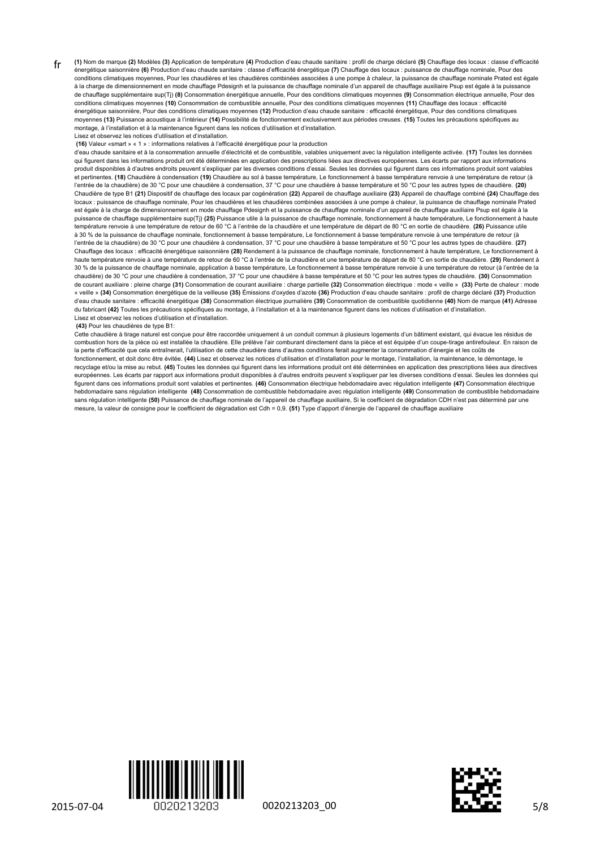fr **(1)** Nom de marque **(2)** Modèles **(3)** Application de température **(4)** Production d'eau chaude sanitaire : profil de charge déclaré **(5)** Chauffage des locaux : classe d'efficacité énergétique saisonnière **(6)** Production d'eau chaude sanitaire : classe d'efficacité énergétique **(7)** Chauffage des locaux : puissance de chauffage nominale, Pour des conditions climatiques moyennes, Pour les chaudières et les chaudières combinées associées à une pompe à chaleur, la puissance de chauffage nominale Prated est égale à la charge de dimensionnement en mode chauffage Pdesignh et la puissance de chauffage nominale d'un appareil de chauffage auxiliaire Psup est égale à la puissance de chauffage supplémentaire sup(Tj) **(8)** Consommation énergétique annuelle, Pour des conditions climatiques moyennes **(9)** Consommation électrique annuelle, Pour des conditions climatiques moyennes **(10)** Consommation de combustible annuelle, Pour des conditions climatiques moyennes **(11)** Chauffage des locaux : efficacité énergétique saisonnière, Pour des conditions climatiques moyennes **(12)** Production d'eau chaude sanitaire : efficacité énergétique, Pour des conditions climatiques moyennes **(13)** Puissance acoustique à l'intérieur **(14)** Possibilité de fonctionnement exclusivement aux périodes creuses. **(15)** Toutes les précautions spécifiques au montage, à l'installation et à la maintenance figurent dans les notices d'utilisation et d'installation.

Lisez et observez les notices d'utilisation et d'installation.

**(16)** Valeur «smart » « 1 » : informations relatives à l'efficacité énergétique pour la production

d'eau chaude sanitaire et à la consommation annuelle d'électricité et de combustible, valables uniquement avec la régulation intelligente activée. **(17)** Toutes les données qui figurent dans les informations produit ont été déterminées en application des prescriptions liées aux directives européennes. Les écarts par rapport aux informations produit disponibles à d'autres endroits peuvent s'expliquer par les diverses conditions d'essai. Seules les données qui figurent dans ces informations produit sont valables et pertinentes. (18) Chaudière à condensation (19) Chaudière au sol à basse température, Le fonctionnement à basse température renvoie à une température de retour (à l'entrée de la chaudière) de 30 °C pour une chaudière à condensation, 37 °C pour une chaudière à basse température et 50 °C pour les autres types de chaudière. **(20)**  Chaudière de type B1 **(21)** Dispositif de chauffage des locaux par cogénération **(22)** Appareil de chauffage auxiliaire **(23)** Appareil de chauffage combiné **(24)** Chauffage des locaux : puissance de chauffage nominale, Pour les chaudières et les chaudières combinées associées à une pompe à chaleur, la puissance de chauffage nominale Prated est égale à la charge de dimensionnement en mode chauffage Pdesignh et la puissance de chauffage nominale d'un appareil de chauffage auxiliaire Psup est égale à la puissance de chauffage supplémentaire sup(Tj) **(25)** Puissance utile à la puissance de chauffage nominale, fonctionnement à haute température, Le fonctionnement à haute température renvoie à une température de retour de 60 °C à l'entrée de la chaudière et une température de départ de 80 °C en sortie de chaudière. **(26)** Puissance utile à 30 % de la puissance de chauffage nominale, fonctionnement à basse température, Le fonctionnement à basse température renvoie à une température de retour (à l'entrée de la chaudière) de 30 °C pour une chaudière à condensation, 37 °C pour une chaudière à basse température et 50 °C pour les autres types de chaudière. **(27)**  Chauffage des locaux : efficacité énergétique saisonnière **(28)** Rendement à la puissance de chauffage nominale, fonctionnement à haute température, Le fonctionnement à haute température renvoie à une température de retour de 60 °C à l'entrée de la chaudière et une température de départ de 80 °C en sortie de chaudière. **(29)** Rendement à 30 % de la puissance de chauffage nominale, application à basse température, Le fonctionnement à basse température renvoie à une température de retour (à l'entrée de la chaudière) de 30 °C pour une chaudière à condensation, 37 °C pour une chaudière à basse température et 50 °C pour les autres types de chaudière. **(30)** Consommation de courant auxiliaire : pleine charge **(31)** Consommation de courant auxiliaire : charge partielle **(32)** Consommation électrique : mode « veille » **(33)** Perte de chaleur : mode « veille » **(34)** Consommation énergétique de la veilleuse **(35)** Émissions d'oxydes d'azote **(36)** Production d'eau chaude sanitaire : profil de charge déclaré **(37)** Production d'eau chaude sanitaire : efficacité énergétique **(38)** Consommation électrique journalière **(39)** Consommation de combustible quotidienne **(40)** Nom de marque **(41)** Adresse du fabricant **(42)** Toutes les précautions spécifiques au montage, à l'installation et à la maintenance figurent dans les notices d'utilisation et d'installation. Lisez et observez les notices d'utilisation et d'installation.

**(43)** Pour les chaudières de type B1:

Cette chaudière à tirage naturel est conçue pour être raccordée uniquement à un conduit commun à plusieurs logements d'un bâtiment existant, qui évacue les résidus de combustion hors de la pièce où est installée la chaudière. Elle prélève l'air comburant directement dans la pièce et est équipée d'un coupe-tirage antirefouleur. En raison de la perte d'efficacité que cela entraînerait, l'utilisation de cette chaudière dans d'autres conditions ferait augmenter la consommation d'énergie et les coûts de fonctionnement, et doit donc être évitée. **(44)** Lisez et observez les notices d'utilisation et d'installation pour le montage, l'installation, la maintenance, le démontage, le recyclage et/ou la mise au rebut. **(45)** Toutes les données qui figurent dans les informations produit ont été déterminées en application des prescriptions liées aux directives européennes. Les écarts par rapport aux informations produit disponibles à d'autres endroits peuvent s'expliquer par les diverses conditions d'essai. Seules les données qui figurent dans ces informations produit sont valables et pertinentes. **(46)** Consommation électrique hebdomadaire avec régulation intelligente **(47)** Consommation électrique hebdomadaire sans régulation intelligente **(48)** Consommation de combustible hebdomadaire avec régulation intelligente **(49)** Consommation de combustible hebdomadaire sans régulation intelligente (50) Puissance de chauffage nominale de l'appareil de chauffage auxiliaire, Si le coefficient de dégradation CDH n'est pas déterminé par une mesure, la valeur de consigne pour le coefficient de dégradation est Cdh = 0,9. **(51)** Type d'apport d'énergie de l'appareil de chauffage auxiliaire



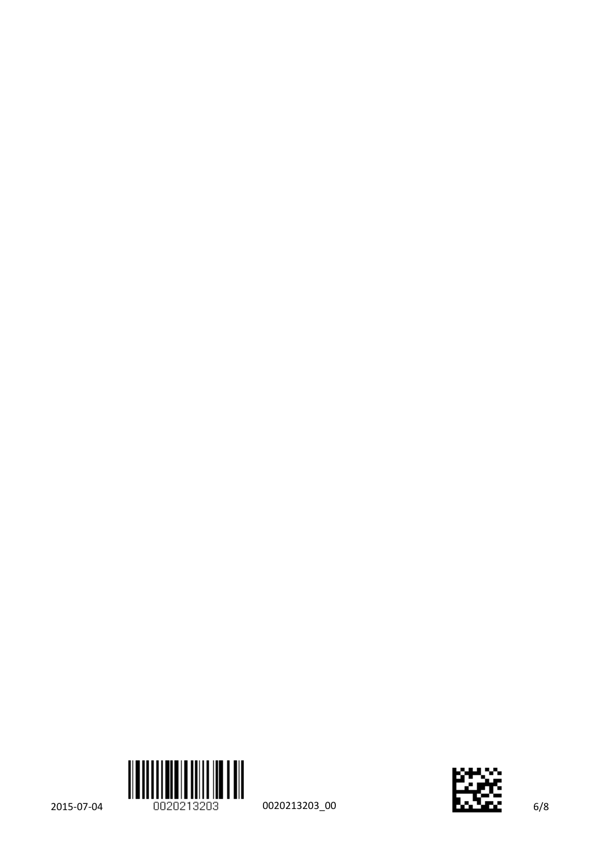

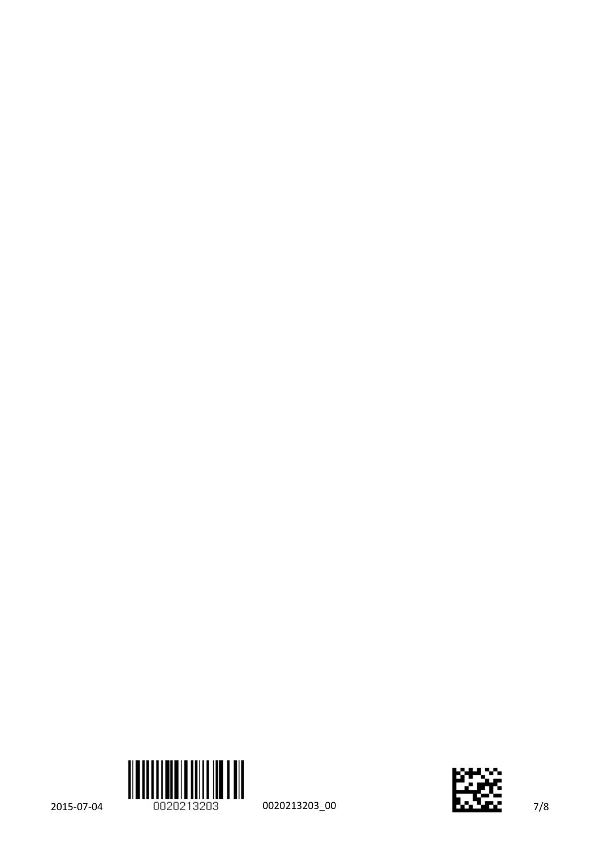